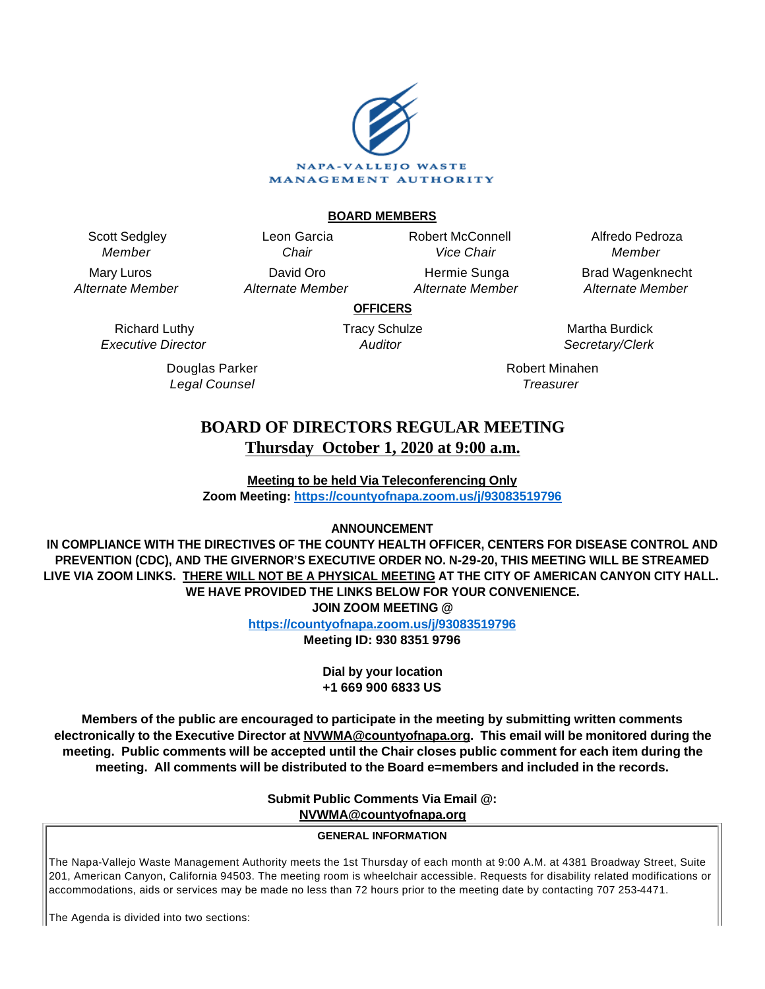

## **BOARD MEMBERS**

Scott Sedgley Member

Mary Luros Alternate Member

Leon Garcia **Chair** David Oro Alternate Member Robert McConnell Vice Chair

Hermie Sunga Alternate Member

Alfredo Pedroza Member Brad Wagenknecht

Alternate Member

**OFFICERS**

Richard Luthy Executive Director

> Douglas Parker Legal Counsel

Tracy Schulze **Auditor** 

Martha Burdick Secretary/Clerk

Robert Minahen **Treasurer** 

# **BOARD OF DIRECTORS REGULAR MEETING Thursday October 1, 2020 at 9:00 a.m.**

**Meeting to be held Via Teleconferencing Only Zoom Meeting:<https://countyofnapa.zoom.us/j/93083519796>**

# **ANNOUNCEMENT**

**IN COMPLIANCE WITH THE DIRECTIVES OF THE COUNTY HEALTH OFFICER, CENTERS FOR DISEASE CONTROL AND PREVENTION (CDC), AND THE GIVERNOR'S EXECUTIVE ORDER NO. N-29-20, THIS MEETING WILL BE STREAMED LIVE VIA ZOOM LINKS. THERE WILL NOT BE A PHYSICAL MEETING AT THE CITY OF AMERICAN CANYON CITY HALL. WE HAVE PROVIDED THE LINKS BELOW FOR YOUR CONVENIENCE. JOIN ZOOM MEETING @**

**<https://countyofnapa.zoom.us/j/93083519796>**

**Meeting ID: 930 8351 9796**

**Dial by your location +1 669 900 6833 US**

**Members of the public are encouraged to participate in the meeting by submitting written comments electronically to the Executive Director at NVWMA@countyofnapa.org. This email will be monitored during the meeting. Public comments will be accepted until the Chair closes public comment for each item during the meeting. All comments will be distributed to the Board e=members and included in the records.**

**Submit Public Comments Via Email @:**

**NVWMA@countyofnapa.org**

## **GENERAL INFORMATION**

The Napa-Vallejo Waste Management Authority meets the 1st Thursday of each month at 9:00 A.M. at 4381 Broadway Street, Suite 201, American Canyon, California 94503. The meeting room is wheelchair accessible. Requests for disability related modifications or accommodations, aids or services may be made no less than 72 hours prior to the meeting date by contacting 707 253-4471.

The Agenda is divided into two sections: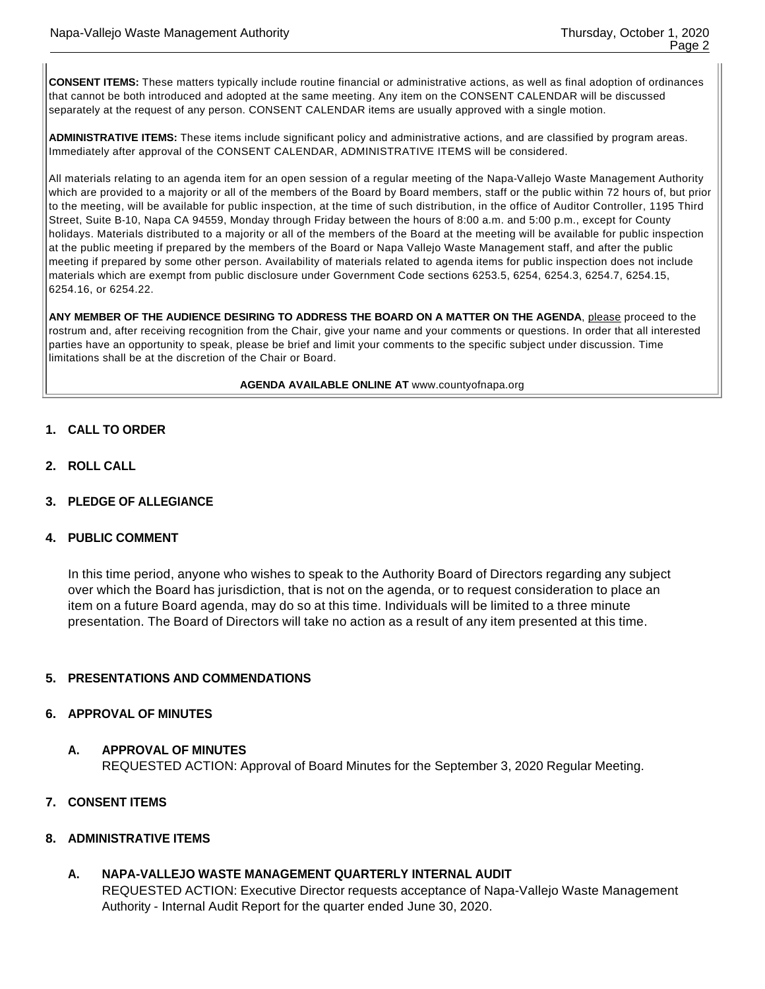**CONSENT ITEMS:** These matters typically include routine financial or administrative actions, as well as final adoption of ordinances that cannot be both introduced and adopted at the same meeting. Any item on the CONSENT CALENDAR will be discussed separately at the request of any person. CONSENT CALENDAR items are usually approved with a single motion.

**ADMINISTRATIVE ITEMS:** These items include significant policy and administrative actions, and are classified by program areas. Immediately after approval of the CONSENT CALENDAR, ADMINISTRATIVE ITEMS will be considered.

All materials relating to an agenda item for an open session of a regular meeting of the Napa-Vallejo Waste Management Authority which are provided to a majority or all of the members of the Board by Board members, staff or the public within 72 hours of, but prior to the meeting, will be available for public inspection, at the time of such distribution, in the office of Auditor Controller, 1195 Third Street, Suite B-10, Napa CA 94559, Monday through Friday between the hours of 8:00 a.m. and 5:00 p.m., except for County holidays. Materials distributed to a majority or all of the members of the Board at the meeting will be available for public inspection at the public meeting if prepared by the members of the Board or Napa Vallejo Waste Management staff, and after the public meeting if prepared by some other person. Availability of materials related to agenda items for public inspection does not include materials which are exempt from public disclosure under Government Code sections 6253.5, 6254, 6254.3, 6254.7, 6254.15, 6254.16, or 6254.22.

**ANY MEMBER OF THE AUDIENCE DESIRING TO ADDRESS THE BOARD ON A MATTER ON THE AGENDA**, please proceed to the rostrum and, after receiving recognition from the Chair, give your name and your comments or questions. In order that all interested parties have an opportunity to speak, please be brief and limit your comments to the specific subject under discussion. Time limitations shall be at the discretion of the Chair or Board.

**AGENDA AVAILABLE ONLINE AT** www.countyofnapa.org

- **1. CALL TO ORDER**
- **2. ROLL CALL**
- **3. PLEDGE OF ALLEGIANCE**

#### **4. PUBLIC COMMENT**

In this time period, anyone who wishes to speak to the Authority Board of Directors regarding any subject over which the Board has jurisdiction, that is not on the agenda, or to request consideration to place an item on a future Board agenda, may do so at this time. Individuals will be limited to a three minute presentation. The Board of Directors will take no action as a result of any item presented at this time.

# **5. PRESENTATIONS AND COMMENDATIONS**

## **6. APPROVAL OF MINUTES**

#### **A. APPROVAL OF MINUTES**

REQUESTED ACTION: Approval of Board Minutes for the September 3, 2020 Regular Meeting.

**7. CONSENT ITEMS**

#### **8. ADMINISTRATIVE ITEMS**

**A. NAPA-VALLEJO WASTE MANAGEMENT QUARTERLY INTERNAL AUDIT**

REQUESTED ACTION: Executive Director requests acceptance of Napa-Vallejo Waste Management Authority - Internal Audit Report for the quarter ended June 30, 2020.